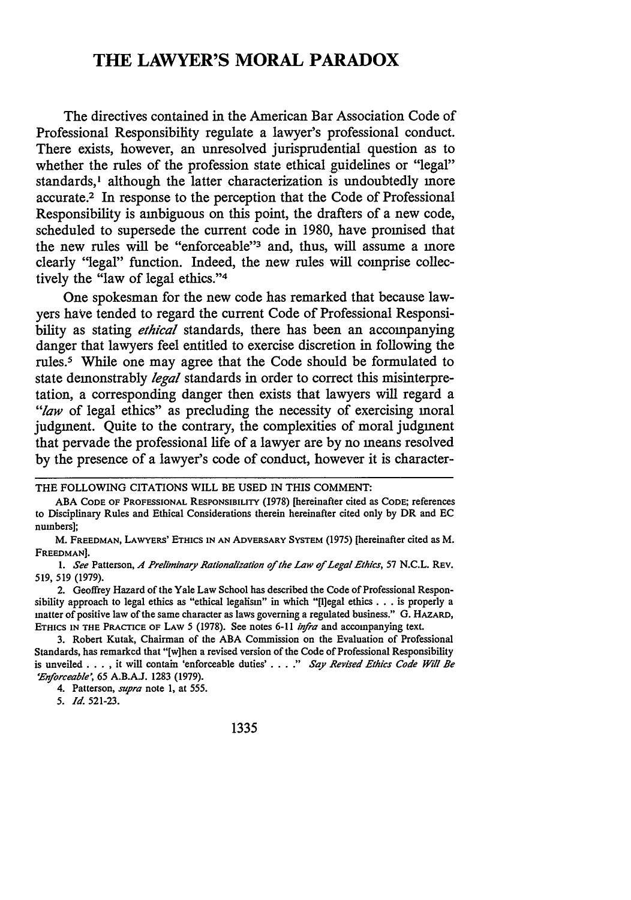# **THE LAWYER'S MORAL PARADOX**

The directives contained in the American Bar Association Code of Professional Responsibility regulate a lawyer's professional conduct. There exists, however, an unresolved jurisprudential question as to whether the rules of the profession state ethical guidelines or "legal" standards,<sup>1</sup> although the latter characterization is undoubtedly more accurate.<sup>2</sup> In response to the perception that the Code of Professional Responsibility is ambiguous on this point, the drafters of a new code, scheduled to supersede the current code in **1980,** have promised that the new rules will be "enforceable"<sup>3</sup> and, thus, will assume a more clearly "legal" function. Indeed, the new rules will comprise collectively the "law of legal ethics."<sup>4</sup>

One spokesman for the new code has remarked that because lawyers have tended to regard the current Code of Professional Responsibility as stating *ethical* standards, there has been an accompanying danger that lawyers feel entitled to exercise discretion in following the rules.5 While one may agree that the Code should be formulated to state demonstrably *legal* standards in order to correct this misinterpretation, a corresponding danger then exists that lawyers will regard a *"law* of legal ethics" as precluding the necessity of exercising moral judgment. Quite to the contrary, the complexities of moral judgment that pervade the professional life of a lawyer are **by** no means resolved **by** the presence of a lawyer's code of conduct, however it is character-

THE FOLLOWING CITATIONS WILL BE **USED** IN **THIS COMMENT:**

**ABA CODE OF PROFESSIONAL** RESPONSIBILITY **(1978)** [hereinafter cited as **CODE;** references to Disciplinary Rules and Ethical Considerations therein hereinafter cited only **by** DR and **EC** numbers];

M. FREEDMAN, **LAWYERS'** ETHICS IN **AN** ADVERSARY SYSTEM **(1975)** [hereinafter cited as M. FREEDMAN].

<sup>1.</sup> *See* Patterson, *A Preliminary Rationalization of the Law of Legal Ethics,* **57** N.C.L. **REV.** 519, 519 (1979).

<sup>2.</sup> Geoffrey Hazard of the Yale Law School has described the Code of Professional Responsibility approach to legal ethics as "ethical legalism" in which "[legal ethics **...** is properly a matter of positive law of the same character as laws governing a regulated business." G. HAZARD, ETHICS IN THE PRACTICE OF LAW 5 **(1978).** See notes **6-11** *infra* and accompanying text.

**<sup>3.</sup>** Robert Kutak, Chairman of the **ABA** Commission on the Evaluation of Professional Standards, has remarked that "[w]hen a revised version of the Code of Professional Responsibility is unveiled . . . , it will contain 'enforceable duties' . . . *" Say Revised Ethics Code Will Be 'Enforceable'* 65 **A.B.AJ. 1283** (1979).

<sup>4.</sup> Patterson, *supra* note **1,** at 555.

**<sup>5.</sup>** *Id.* **521-23.**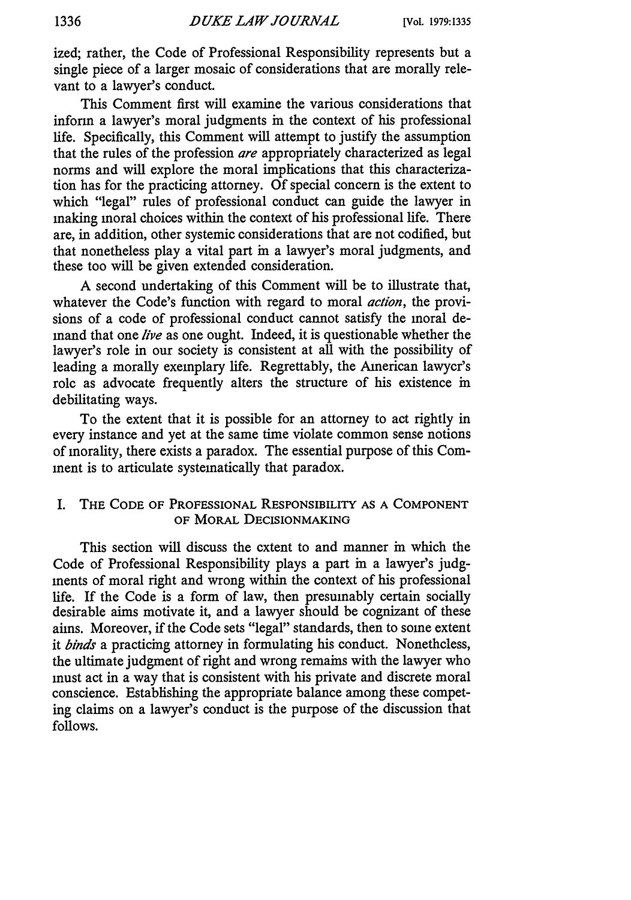ized; rather, the Code of Professional Responsibility represents but a single piece of a larger mosaic of considerations that are morally relevant to a lawyer's conduct.

This Comment first will examine the various considerations that inform a lawyer's moral judgments in the context of his professional life. Specifically, this Comment will attempt to justify the assumption that the rules of the profession *are* appropriately characterized as legal norms and will explore the moral implications that this characterization has for the practicing attorney. Of special concern is the extent to which "legal" rules of professional conduct can guide the lawyer in making moral choices within the context of his professional life. There are, in addition, other systemic considerations that are not codified, but that nonetheless play a vital part in a lawyer's moral judgments, and these too will be given extended consideration.

A second undertaking of this Comment will be to illustrate that, whatever the Code's function with regard to moral *action,* the provisions of a code of professional conduct cannot satisfy the moral demand that one *lipe* as one ought. Indeed, it is questionable whether the lawyer's role in our society is consistent at all with the possibility of leading a morally exemplary life. Regrettably, the American lawyer's role as advocate frequently alters the structure of his existence in debilitating ways.

To the extent that it is possible for an attorney to act rightly in every instance and yet at the same time violate common sense notions of morality, there exists a paradox. The essential purpose of this Comment is to articulate systematically that paradox.

# **I.** THE CODE OF PROFESSIONAL RESPONSIBILITY **AS A** COMPONENT OF MORAL DECISIONMAKING

This section will discuss the extent to and manner in which the Code of Professional Responsibility plays a part in a lawyer's judgments of moral right and wrong within the context of his professional life. If the Code is a form of law, then presumably certain socially desirable aims motivate it, and a lawyer should be cognizant of these aims. Moreover, if the Code sets "legal" standards, then to some extent it *binds* a practicing attorney in formulating his conduct. Nonetheless, the ultimate judgment of right and wrong remains with the lawyer who must act in a way that is consistent with his private and discrete moral conscience. Establishing the appropriate balance among these competing claims on a lawyer's conduct is the purpose of the discussion that follows.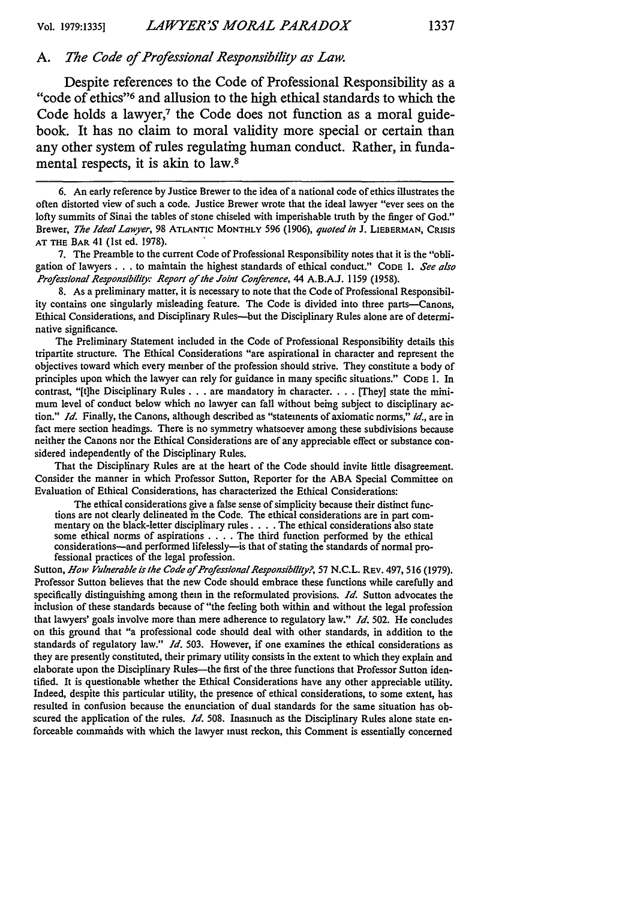#### Vol. 1979:13351 *LAWYER'S MORAL PARADOX*

# *A. The Code of Frofessional Responsibility as Law.*

Despite references to the Code of Professional Responsibility as a "code of ethics"<sup>6</sup> and allusion to the high ethical standards to which the Code holds a lawyer,<sup>7</sup> the Code does not function as a moral guidebook. It has no claim to moral validity more special or certain than any other system of rules regulating human conduct. Rather, in fundamental respects, it is akin to law.8

7. The Preamble to the current Code of Professional Responsibility notes that it is the "obligation of lawyers. **. .** to maintain the highest standards of ethical conduct." **CODE** 1. *See also Professional Responsibility. Report of the Joint Conference,* 44 A.B.A.J. 1159 (1958).

8. As a preliminary matter, it is necessary to note that the Code of Professional Responsibility contains one singularly misleading feature. The Code is divided into three parts-Canons, Ethical Considerations, and Disciplinary Rules-but the Disciplinary Rules alone are of determinative significance.

The Preliminary Statement included in the Code of Professional Responsibility details this tripartite structure. The Ethical Considerations "are aspirational in character and represent the objectives toward which every member of the profession should strive. They constitute a body of principles upon which the lawyer can rely for guidance in many specific situations." **CODE 1.** In contrast, "[t]he Disciplinary Rules **. .** .are mandatory in character. **. .** .[They] state the minimum level of conduct below which no lawyer can fall without being subject to disciplinary action." *Id.* Finally, the Canons, although described as "statements of axiomatic norms," *id.,* are in fact mere section headings. There is no symmetry whatsoever among these subdivisions because neither the Canons nor the Ethical Considerations are of any appreciable effect or substance considered independently of the Disciplinary Rules.

That the Disciplinary Rules are at the heart of the Code should invite little disagreement. Consider the manner in which Professor Sutton, Reporter for the ABA Special Committee on Evaluation of Ethical Considerations, has characterized the Ethical Considerations:

The ethical considerations give a false sense of simplicity because their distinct functions are not clearly delineated in the Code. The ethical considerations are in part commentary on the black-letter disciplinary rules. . **.** .The ethical considerations also state some ethical norms of aspirations .**. .** .The third function performed by the ethical considerations-and performed lifelessly-is that of stating the standards of normal professional practices of the legal profession.

Sutton, *How Vulnerable is the Code of Professional Responsibility?*, 57 N.C.L. REV. 497, 516 (1979). Professor Sutton believes that the new Code should embrace these functions while carefully and specifically distinguishing among them in the reformulated provisions. *Id.* Sutton advocates the inclusion of these standards because of "the feeling both within and without the legal profession that lawyers' goals involve more than mere adherence to regulatory law." *Id.* 502. He concludes on this ground that "a professional code should deal with other standards, in addition to the standards of regulatory law." *Id.* 503. However, if one examines the ethical considerations as they are presently constituted, their primary utility consists in the extent to which they explain and elaborate upon the Disciplinary Rules—the first of the three functions that Professor Sutton identified. It is questionable whether the Ethical Considerations have any other appreciable utility. Indeed, despite this particular utility, the presence of ethical considerations, to some extent, has resulted in confusion because the enunciation of dual standards for the same situation has obscured the application of the rules. *Id.* 508. Inasmuch as the Disciplinary Rules alone state enforceable commafids with which the lawyer must reckon, this Comment is essentially concerned

<sup>6.</sup> An early reference by Justice Brewer to the idea of a national code of ethics illustrates the often distorted view of such a code. Justice Brewer wrote that the ideal lawyer "ever sees on the lofty summits of Sinai the tables of stone chiseled with imperishable truth by the finger of God." Brewer, *The Ideal Lawyer,* 98 **ATLANTIC** MONTHLY **596** (1906), *quoted in* **J.** LIEBERMAN, **CRISIS AT** THE BAR 41 (1st ed. 1978).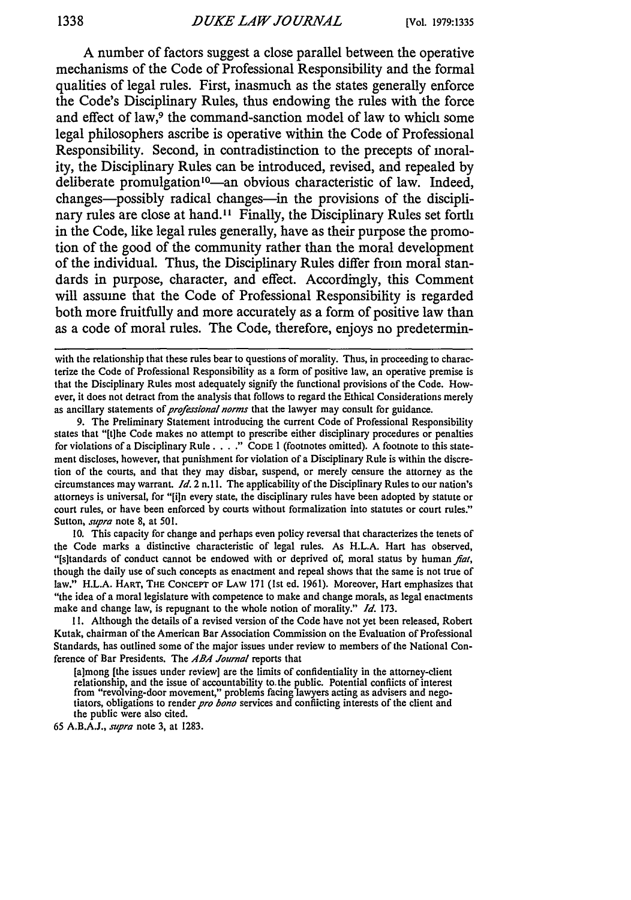**A** number of factors suggest a close parallel between the operative mechanisms of the Code of Professional Responsibility and the formal qualities of legal rules. First, inasmuch as the states generally enforce the Code's Disciplinary Rules, thus endowing the rules with the force and effect of law,<sup>9</sup> the command-sanction model of law to which some legal philosophers ascribe is operative within the Code of Professional Responsibility. Second, in contradistinction to the precepts of morality, the Disciplinary Rules can be introduced, revised, and repealed **by** deliberate promulgation<sup>10</sup>—an obvious characteristic of law. Indeed, changes—possibly radical changes—in the provisions of the disciplinary rules are close at hand.<sup>11</sup> Finally, the Disciplinary Rules set forth in the Code, like legal rules generally, have as their purpose the promotion of the good of the community rather than the moral development of the individual. Thus, the Disciplinary Rules differ from moral standards in purpose, character, and effect. Accordingly, this Comment will assume that the Code of Professional Responsibility is regarded both more fruitfully and more accurately as a form of positive law than as a code of moral rules. The Code, therefore, enjoys no predetermin-

with the relationship that these rules bear to questions of morality. Thus, in proceeding to characterize the Code of Professional Responsibility as a form of positive law, an operative premise is that the Disciplinary Rules most adequately signify the functional provisions of the Code. However, it does not detract from the analysis that follows to regard the Ethical Considerations merely as ancillary statements *of professional norms* that the lawyer may consult for guidance.

9. The Preliminary Statement introducing the current Code of Professional Responsibility states that "[t]he Code makes no attempt to prescribe either disciplinary procedures or penalties for violations of a Disciplinary Rule **...."** CODE I (footnotes omitted). A footnote to this statement discloses, however, that punishment for violation of a Disciplinary Rule is within the discretion of the courts, and that they may disbar, suspend, or merely censure the attorney as the circumstances may warrant. *Id.* 2 n.11. The applicability of the Disciplinary Rules to our nation's attorneys is universal, for "[in every state, the disciplinary rules have been adopted by statute or court rules, or have been enforced by courts without formalization into statutes or court rules." Sutton, *supra* note 8, at 501.

**10,** This capacity for change and perhaps even policy reversal that characterizes the tenets of the Code marks a distinctive characteristic of legal rules. As H.L.A. Hart has observed, "[s]tandards of conduct cannot be endowed with or deprived of, moral status by human *fiat,* though the daily use of such concepts as enactment and repeal shows that the same is not true of law." H.L.A. HART, **THE CONCEPr** OF LAW 171 (Ist ed. 1961). Moreover, Hart emphasizes that "the idea of a moral legislature with competence to make and change morals, as legal enactments make and change law, is repugnant to the whole notion of morality." *Id.* 173.

**11.** Although the details of a revised version of the Code have not yet been released, Robert Kutak, chairman of the American Bar Association Commission on the Evaluation of Professional Standards, has outlined some of the major issues under review to members of the National Conference of Bar Presidents. The *ABA Journal* reports that

[a]mong [the issues under review] are the limits of confidentiality in the attorney-client relationship, and the issue of accountability to the public. Potential conflicts of interest from "revolving-door movement," problems facing lawyers acting as advisers and negotiators, obligations to render pro bono services and conflicting interests of the client and the public were also cited.

65 A.B.A.J., *supra* note 3, at 1283.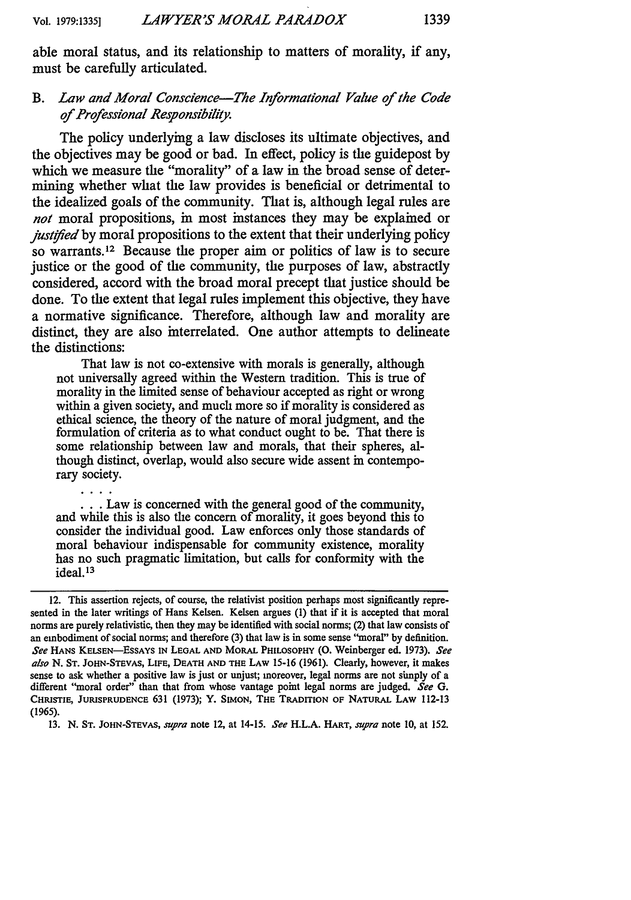able moral status, and its relationship to matters of morality, if any, must be carefully articulated.

# *B. Law and Moral Conscience-The Informational Value of the Code of Professional Responsibility.*

The policy underlying a law discloses its ultimate objectives, and the objectives may be good or bad. In effect, policy is the guidepost by which we measure the "morality" of a law in the broad sense of deter-<br>mining whether what the law provides is beneficial or detrimental to the idealized goals of the community. That is, although legal rules are *not* moral propositions, in most instances they may be explained or *justified* by moral propositions to the extent that their underlying policy so warrants. 12 Because the proper aim or politics of law is to secure justice or the good of the community, the purposes of law, abstractly considered, accord with the broad moral precept that justice should be done. To the extent that legal rules implement this objective, they have a normative significance. Therefore, although law and morality are distinct, they are also interrelated. One author attempts to delineate the distinctions:

That law is not co-extensive with morals is generally, although not universally agreed within the Western tradition. This is true of morality in the limited sense of behaviour accepted as right or wrong within a given society, and much more so if morality is considered as ethical science, the theory of the nature of moral judgment, and the formulation of criteria as to what conduct ought to be. That there is some relationship between law and morals, that their spheres, although distinct, overlap, would also secure wide assent in contemporary society.

**...** Law is concerned with the general good of the community, and while this is also the concern of morality, it goes beyond this to consider the individual good. Law enforces only those standards of moral behaviour indispensable for community existence, morality has no such pragmatic limitation, but calls for conformity with the ideal. **<sup>13</sup>**

13. N. **ST. JOHN-STEvAS,** *supra* note 12, at 14-15. *See* H.L.A. HART, *supra* note **10,** at 152.

<sup>12.</sup> This assertion rejects, of course, the relativist position perhaps most significantly represented in the later writings of Hans Kelsen. Kelsen argues **(1)** that if it is accepted that moral norms are purely relativistic, then they may be identified with social norms; (2) that law consists of an embodiment of social norms; and therefore (3) that law is in some sense "moral" by definition. *See* HANS KELSEN-ESsAYS **IN LEGAL AND** MORAL PHILOSOPHY **(0.** Weinberger ed. 1973). *See also* N. **ST.** JOHN-STEVAs, **LIFE, DEATH AND** THE **LAW** 15-16 (1961). Clearly, however, it makes sense to ask whether a positive law is just or unjust; moreover, legal norms are **not** simply **of a** different "moral order" than that from whose vantage point legal norms are judged. *See G.* **CHRISTIE, JURISPRUDENCE 631 (1973);** Y. **SIMON, THE TRADITION** OF **NATURAL LAW 112-13 (1965).**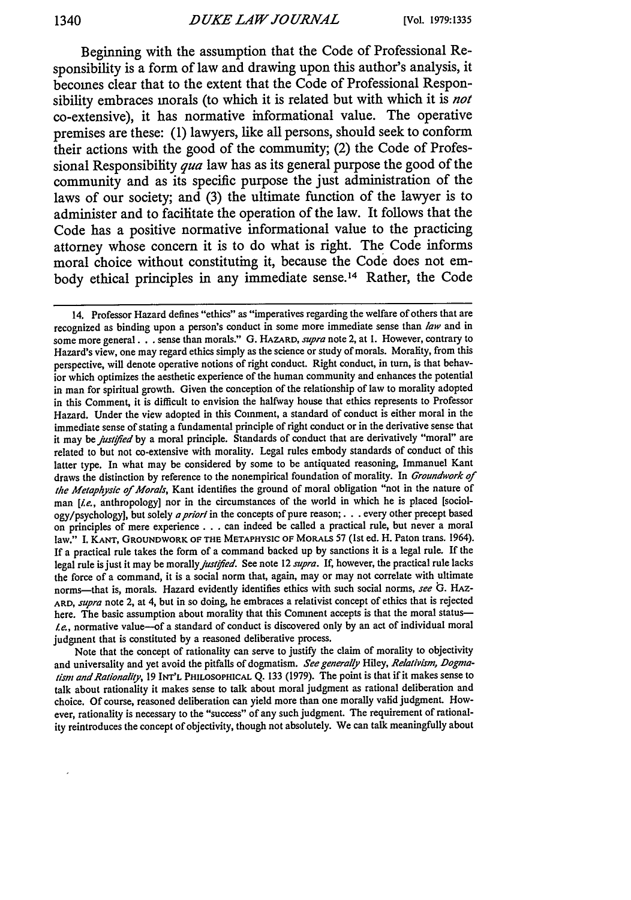Beginning with the assumption that the Code of Professional Responsibility is a form of law and drawing upon this author's analysis, it becomes clear that to the extent that the Code of Professional Responsibility embraces morals (to which it is related but with which it is *not* co-extensive), it has normative informational value. The operative premises are these: **(1)** lawyers, like all persons, should seek to conform their actions with the good of the community; (2) the Code of Professional Responsibility *qua* law has as its general purpose the good of the community and as its specific purpose the just administration of the laws of our society; and **(3)** the ultimate function of the lawyer is to administer and to facilitate the operation of the law. It follows that the Code has a positive normative informational value to the practicing attorney whose concern it is to do what is right. The Code informs moral choice without constituting it, because the Code does not embody ethical principles in any immediate sense.<sup>14</sup> Rather, the Code

14. Professor Hazard defines "ethics" as "imperatives regarding the welfare of others that are recognized as binding upon a person's conduct in some more immediate sense than law and in some more general. **. .** sense than morals." G. HAZARD, supra note 2, at **1.** However, contrary to Hazard's view, one may regard ethics simply as the science or study of morals. Morality, from this perspective, will denote operative notions of right conduct. Right conduct, in turn, is that behavior which optimizes the aesthetic experience of the human community and enhances the potential in man for spiritual growth. Given the conception of the relationship of law to morality adopted in this Comment, it is difficult to envision the halfway house that ethics represents to Professor Hazard. Under the view adopted in this Comment, a standard of conduct is either moral in the immediate sense of stating a fundamental principle of right conduct or in the derivative sense that it may be justified by a moral principle. Standards of conduct that are derivatively "moral" are related to but not co-extensive with morality. Legal rules embody standards of conduct of this latter type. In what may be considered by some to be antiquated reasoning, Immanuel Kant draws the distinction by reference to the nonempirical foundation of morality. In Groundwork *of* the Metaphysic of Morals, Kant identifies the ground of moral obligation "not in the nature of man [i.e., anthropology] nor in the circumstances of the world in which he is placed [sociology/psychology], but solely *apriori* in the concepts of pure reason;. **. .** every other precept based on principles of mere experience **. . .** can indeed be called a practical rule, but never a moral law." I. **KANT,** GROUNDWORK OF THE METAPHYSIC OF MORALS 57 (Ist ed. H. Paton trans. 1964). If a practical rule takes the form of a command backed up by sanctions it is a legal rule. If the legal rule is just it may be morally *justified*. See note 12 *supra*. If, however, the practical rule lacks the force of a command, it is a social norm that, again, may or may not correlate with ultimate norms-that is, morals. Hazard evidently identifies ethics with such social norms, see G. HAz-ARD, *supra* note 2, at 4, but in so doing, he embraces a relativist concept of ethics that is rejected here. The basic assumption about morality that this Comment accepts is that the moral status*i.e.*, normative value--of a standard of conduct is discovered only by an act of individual moral judgment that is constituted by a reasoned deliberative process.

Note that the concept of rationality can serve to justify the claim of morality to objectivity and universality and yet avoid the pitfalls of dogmatism. *See generally* Hiley, *Relativism, Dogmalism andRationality,* 19 **INT'L** PHILOSOPHICAL **Q. 133 (1979).** The point is that if it makes sense to talk about rationality it makes sense to talk about moral judgment as rational deliberation and choice. Of course, reasoned deliberation can yield more than one morally valid judgment. However, rationality is necessary to the "success" of any such judgment. The requirement of rationality reintroduces the concept of objectivity, though not absolutely. We can talk meaningfully about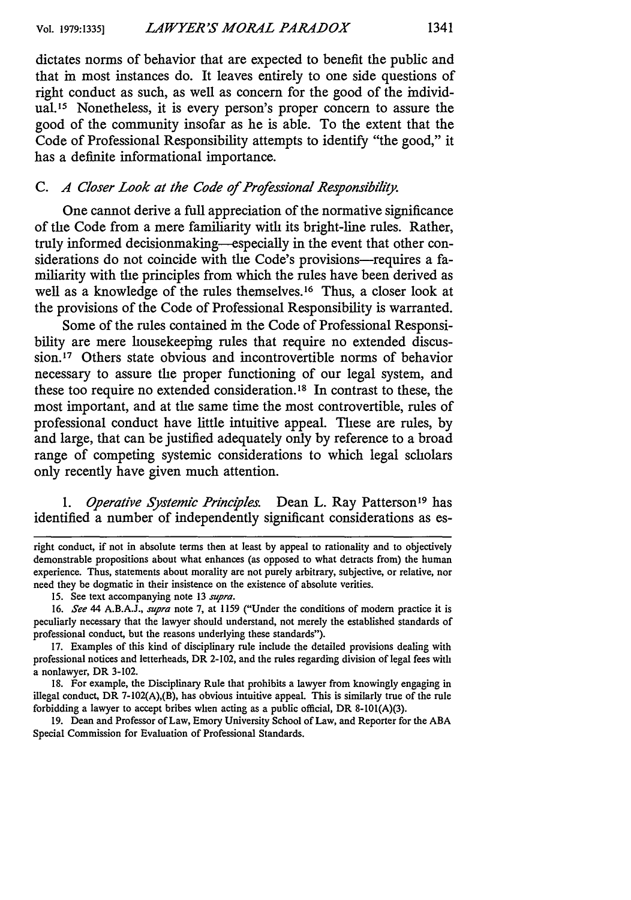dictates norms of behavior that are expected to benefit the public and that in most instances do. It leaves entirely to one side questions of right conduct as such, as well as concern for the good of the individual.<sup>15</sup> Nonetheless, it is every person's proper concern to assure the good of the community insofar as he is able. To the extent that the Code of Professional Responsibility attempts to identify "the good," it has a definite informational importance.

## *C. A Closer Look at the Code of Professional Responsbility.*

One cannot derive a full appreciation of the normative significance of the Code from a mere familiarity with its bright-line rules. Rather, truly informed decisionmaking--especially in the event that other considerations do not coincide with the Code's provisions-requires a familiarity with the principles from which the rules have been derived as well as a knowledge of the rules themselves.<sup>16</sup> Thus, a closer look at the provisions of the Code of Professional Responsibility is warranted.

Some of the rules contained in the Code of Professional Responsibility are mere housekeeping rules that require no extended discussion.<sup>17</sup> Others state obvious and incontrovertible norms of behavior necessary to assure the proper functioning of our legal system, and these too require no extended consideration.<sup>18</sup> In contrast to these, the most important, and at the same time the most controvertible, rules of professional conduct have little intuitive appeal. These are rules, by and large, that can be justified adequately only by reference to a broad range of competing systemic considerations to which legal scholars only recently have given much attention.

1. *Operative Systemic Principles.* Dean L. Ray Patterson<sup>19</sup> has identified a number of independently significant considerations as es-

15. See text accompanying note 13 *supra.*

16. *See* 44 A.B.A.J., *supra* note 7, at 1159 ("Under the conditions of modem practice it is peculiarly necessary that the lawyer should understand, not merely the established standards of professional conduct, but the reasons underlying these standards").

17. Examples of this kind of disciplinary rule include the detailed provisions dealing with professional notices and letterheads, DR 2-102, and the rules regarding division of legal fees with a nonlawyer, DR 3-102.

**18.** For example, the Disciplinary Rule that prohibits a lawyer from knowingly engaging in illegal conduct, DR 7-102(A), $(B)$ , has obvious intuitive appeal. This is similarly true of the rule forbidding a lawyer to accept bribes when acting as a public official, DR 8-101(A)(3).

19. Dean and Professor of Law, Emory University School of Law, and Reporter for the ABA Special Commission for Evaluation of Professional Standards.

right conduct, if not in absolute terms then at least by appeal to rationality and to objectively demonstrable propositions about what enhances (as opposed to what detracts from) the human experience. Thus, statements about morality are not purely arbitrary, subjective, or relative, nor need they be dogmatic in their insistence on the existence of absolute verities.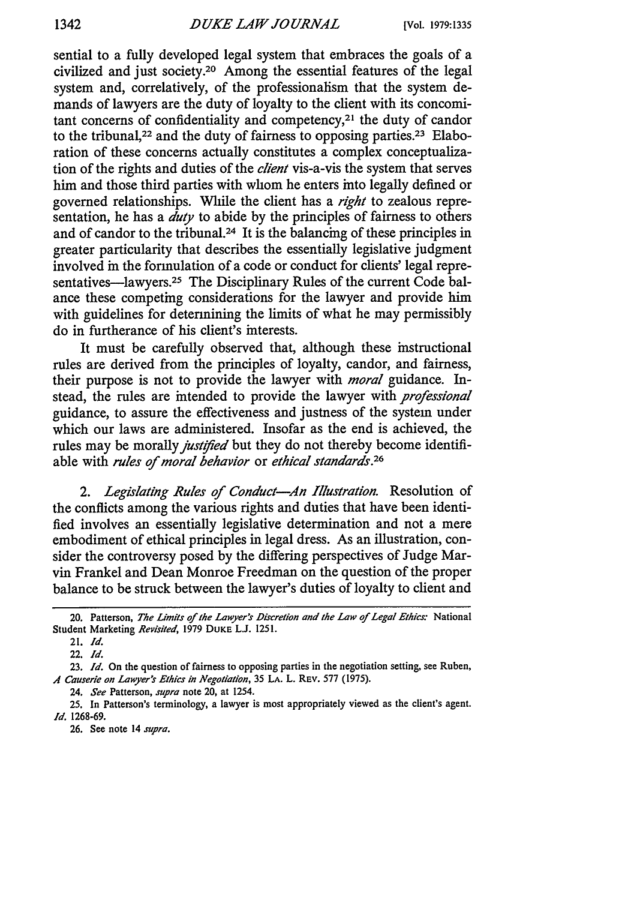sential to a fully developed legal system that embraces the goals of a civilized and just society.20 Among the essential features of the legal system and, correlatively, of the professionalism that the system demands of lawyers are the duty of loyalty to the client with its concomitant concerns of confidentiality and competency,<sup>21</sup> the duty of candor to the tribunal,<sup>22</sup> and the duty of fairness to opposing parties.<sup>23</sup> Elaboration of these concerns actually constitutes a complex conceptualization of the rights and duties of the *client* vis-a-vis the system that serves him and those third parties with whom he enters into legally defined or governed relationships. While the client has a *right* to zealous representation, he has a *duty* to abide by the principles of fairness to others and of candor to the tribunal.<sup>24</sup> It is the balancing of these principles in greater particularity that describes the essentially legislative judgment involved in the formulation of a code or conduct for clients' legal representatives—lawyers.<sup>25</sup> The Disciplinary Rules of the current Code balance these competing considerations for the lawyer and provide him with guidelines for determining the limits of what he may permissibly do in furtherance of his client's interests.

It must be carefully observed that, although these instructional rules are derived from the principles of loyalty, candor, and fairness, their purpose is not to provide the lawyer with *moral* guidance. Instead, the rules are intended to provide the lawyer with *professional* guidance, to assure the effectiveness and justness of the system under which our laws are administered. Insofar as the end is achieved, the rules may be morally *justified* but they do not thereby become identifiable with *rules of moral behavior* or *ethical standards.2 <sup>6</sup>*

*2. Legislating Rules of Conduct-An Illustration.* Resolution of the conflicts among the various rights and duties that have been identi**fied** involves an essentially legislative determination and not a mere embodiment of ethical principles in legal dress. As an illustration, consider the controversy posed by the differing perspectives of Judge Marvin Frankel and Dean Monroe Freedman on the question of the proper balance to be struck between the lawyer's duties of loyalty to client and

*21. Id.*

22. *Id.*

23. *Id.* On the question of fairness to opposing parties in the negotiation setting, see Ruben, *A Causerie on Lawyer's Ethics in Negotiation,* 35 **LA.** L. REv. **577** (1975).

*24. See* Patterson, *supra* note 20, at 1254.

25. In Patterson's terminology, a lawyer is most appropriately viewed as the client's agent. *Id.* **1268-69.**

**26.** See note 14 *supra.*

*<sup>20.</sup>* Patterson, *The Limits of the Lawyer'r Discretion and the Law of Legal Ethics:* National Student Marketing *Revisited,* 1979 **DUKE L.J.** 1251.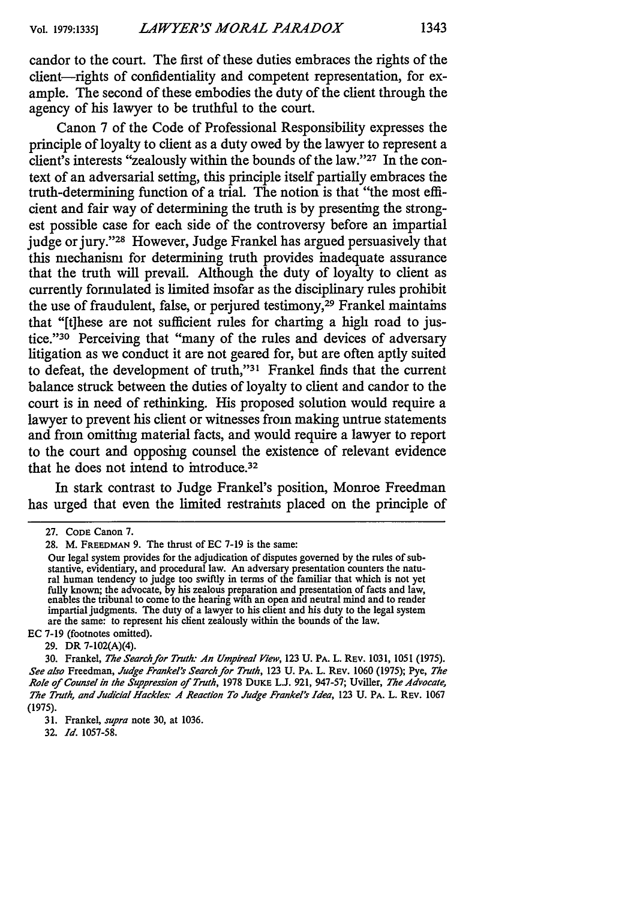agency of his lawyer to be truthful to the court.

candor to the court. The first of these duties embraces the rights of the client-rights of confidentiality and competent representation, for example. The second of these embodies the duty of the client through the

Canon 7 of the Code of Professional Responsibility expresses the principle of loyalty to client as a duty owed by the lawyer to represent a client's interests "zealously within the bounds of the law."<sup>27</sup> In the context of an adversarial setting, this principle itself partially embraces the truth-determining function of a trial. The notion is that "the most efficient and fair way of determining the truth is by presenting the strongest possible case for each side of the controversy before an impartial judge or jury."<sup>28</sup> However, Judge Frankel has argued persuasively that this mechanism for determining truth provides inadequate assurance that the truth will prevail. Although the duty of loyalty to client as currently formulated is limited insofar as the disciplinary rules prohibit the use of fraudulent, false, or perjured testimony,<sup>29</sup> Frankel maintains that "[t]hese are not sufficient rules for charting a high road to justice."30 Perceiving that "many of the rules and devices of adversary litigation as we conduct it are not geared for, but are often aptly suited to defeat, the development of truth,"31 Frankel finds that the current balance struck between the duties of loyalty to client and candor to the court is in need of rethinking. His proposed solution would require a lawyer to prevent his client or witnesses from making untrue statements and from omitting material facts, and would require a lawyer to report to the court and opposing counsel the existence of relevant evidence that he does not intend to introduce.<sup>32</sup>

In stark contrast to Judge Frankel's position, Monroe Freedman has urged that even the limited restraints placed on the principle of

EC 7-19 (footnotes omitted).

**30.** Frankel, *The Searchfor TrutA" An Umpireal View,* **123 U. PA.** L. REv. **1031,** 1051 **(1975).** *See also* Freedman, *Judge Frankel's Search for Truth,* **123 U. PA.** L. **REV.** 1060 **(1975);** Pye, *The Role of Counsel in the Suppression of Truth,* 1978 **DUKE L.J. 921, 947-57;** Uviller, *The Advocate, 7he Truth, and Judicial Hackles: 4 Reaction To Judge Frankel's Idea,* 123 **U.** PA. L. REV. 1067 (1975).

32. *Id.* 1057-58.

<sup>27.</sup> **CODE** Canon 7.

<sup>28.</sup> M. FREEDMAN 9. The thrust of EC 7-19 is the same:

Our legal system provides for the adjudication of disputes governed by the rules of substantive, evidentiary, and procedural law. An adversary presentation counters the natural human tendency to judge too swiftly in terms of the familiar that which is not yet<br>fully known; the advocate, by his zealous preparation and presentation of facts and law,<br>enables the tribunal to come to the hearing wi impartial judgments. The duty of a lawyer to his client and his duty to the legal system are the same: to represent his client zealously within the bounds of the law.

**<sup>29.</sup>** DR 7-102(A)(4).

<sup>31.</sup> Frankel, *supra* note 30, at 1036.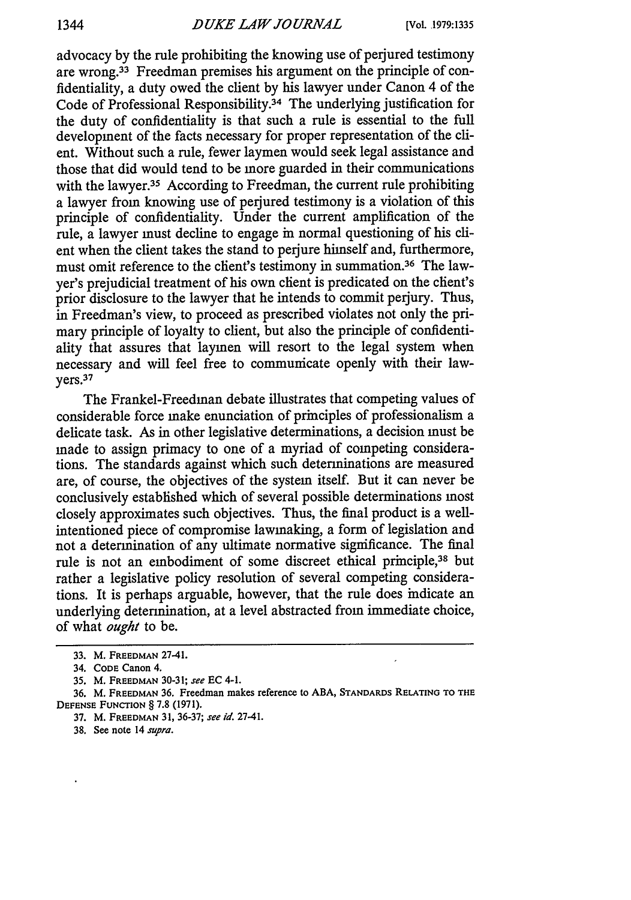advocacy by the rule prohibiting the knowing use of perjured testimony are wrong.33 Freedman premises his argument on the principle of confidentiality, a duty owed the client by his lawyer under Canon 4 of the Code of Professional Responsibility.<sup>34</sup> The underlying justification for the duty of confidentiality is that such a rule is essential to the full development of the facts necessary for proper representation of the client. Without such a rule, fewer laymen would seek legal assistance and those that did would tend to be more guarded in their communications with the lawyer.<sup>35</sup> According to Freedman, the current rule prohibiting a lawyer from knowing use of perjured testimony is a violation of this principle of confidentiality. Under the current amplification of the rule, a lawyer must decline to engage in normal questioning of his client when the client takes the stand to perjure himself and, furthermore, must omit reference to the client's testimony in summation.<sup>36</sup> The lawyer's prejudicial treatment of his own chent is predicated on the chent's prior disclosure to the lawyer that he intends to commit perjury. Thus, in Freedman's view, to proceed as prescribed violates not only the primary principle of loyalty to client, but also the principle of confidentiality that assures that laymen will resort to the legal system when necessary and will feel free to communicate openly with their law $yers.<sup>37</sup>$ 

The Frankel-Freedman debate illustrates that competing values of considerable force make enunciation of principles of professionalism a delicate task. As in other legislative determinations, a decision must be made to assign primacy to one of a myriad of competing considerations. The standards against which such determinations are measured are, of course, the objectives of the system itself. But it can never be conclusively established which of several possible determinations most closely approximates such objectives. Thus, the final product is a wellintentioned piece of compromise lawmaking, a form of legislation and not a determination of any ultimate normative significance. The final rule is not an embodiment of some discreet ethical principle,38 but rather a legislative policy resolution of several competing considerations. It is perhaps arguable, however, that the rule does indicate an underlying determination, at a level abstracted from immediate choice, of what *ought* to be.

**<sup>33.</sup>** M. FREEDMAN 27-41.

<sup>34.</sup> **CODE** Canon 4.

**<sup>35.</sup>** M. **FREEDMAN 30-31;** *see* **EC** 4-1.

**<sup>36.</sup>** M. **FREEDMAN 36.** Freedman makes reference to **ABA, STANDARDS RELATING TO THE DEFENSE FUNCTION** § **7.8 (1971).**

**<sup>37.</sup>** M. FREEDMAN **31, 36-37;** *see id.* 27-41.

**<sup>38.</sup>** See note 14 *supra.*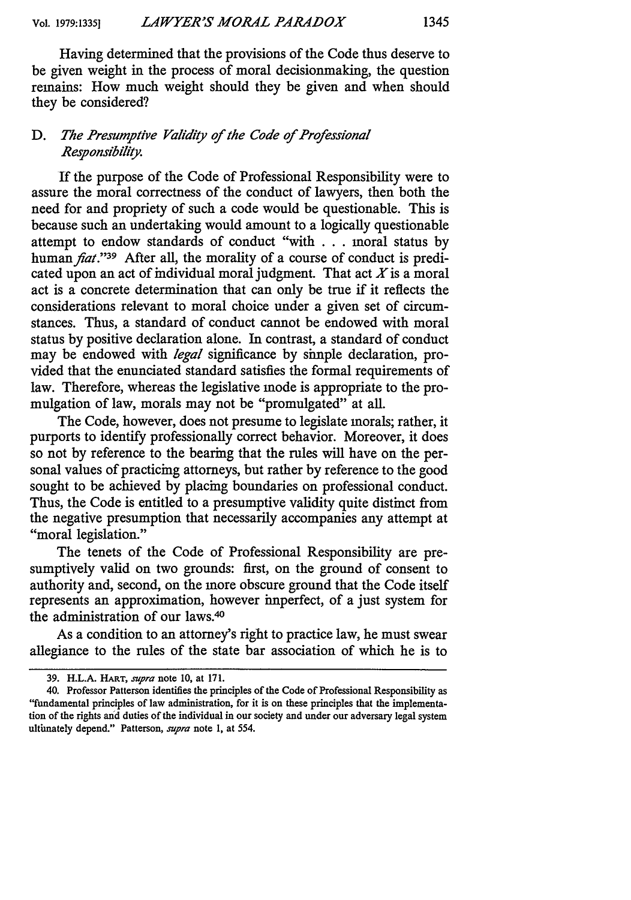Having determined that the provisions of the Code thus deserve to be given weight in the process of moral decisionmaking, the question remains: How much weight should they be given and when should they be considered?

### *D. The Presumptive Validiy* of *the Code* of *Professional Responsibility.*

If the purpose of the Code of Professional Responsibility were to assure the moral correctness of the conduct of lawyers, then both the need for and propriety of such a code would be questionable. This is because such an undertaking would amount to a logically questionable attempt to endow standards of conduct "with **. .** .moral status by human fiat."<sup>39</sup> After all, the morality of a course of conduct is predicated upon an act of individual moral judgment. That act  $X$  is a moral act is a concrete determination that can only be true if it reflects the considerations relevant to moral choice under a given set of circumstances. Thus, a standard of conduct cannot be endowed with moral status by positive declaration alone. In contrast, a standard of conduct may be endowed with *legal* significance by simple declaration, provided that the enunciated standard satisfies the formal requirements of law. Therefore, whereas the legislative mode is appropriate to the promulgation of law, morals may not be "promulgated" at all.

The Code, however, does not presume to legislate morals; rather, it purports to identify professionally correct behavior. Moreover, it does so not by reference to the bearing that the rules will have on the personal values of practicing attorneys, but rather by reference to the good sought to be achieved by placing boundaries on professional conduct. Thus, the Code is entitled to a presumptive validity quite distinct from the negative presumption that necessarily accompanies any attempt at "moral legislation."

The tenets of the Code of Professional Responsibility are presumptively valid on two grounds: first, on the ground of consent to authority and, second, on the more obscure ground that the Code itself represents an approximation, however imperfect, of a just system for the administration of our laws.40

As a condition to an attorney's right to practice law, he must swear allegiance to the rules of the state bar association of which he is to

<sup>39.</sup> H.L.A. HART, *supra* note 10, at 171.

<sup>40.</sup> Professor Patterson identifies the principles of the Code of Professional Responsibility as "fundamental principles of law administration, for it is on these principles that the implementation of the rights and duties of the individual in our society and under our adversary legal system ultimately depend." Patterson, *supra* note **1,** at 554.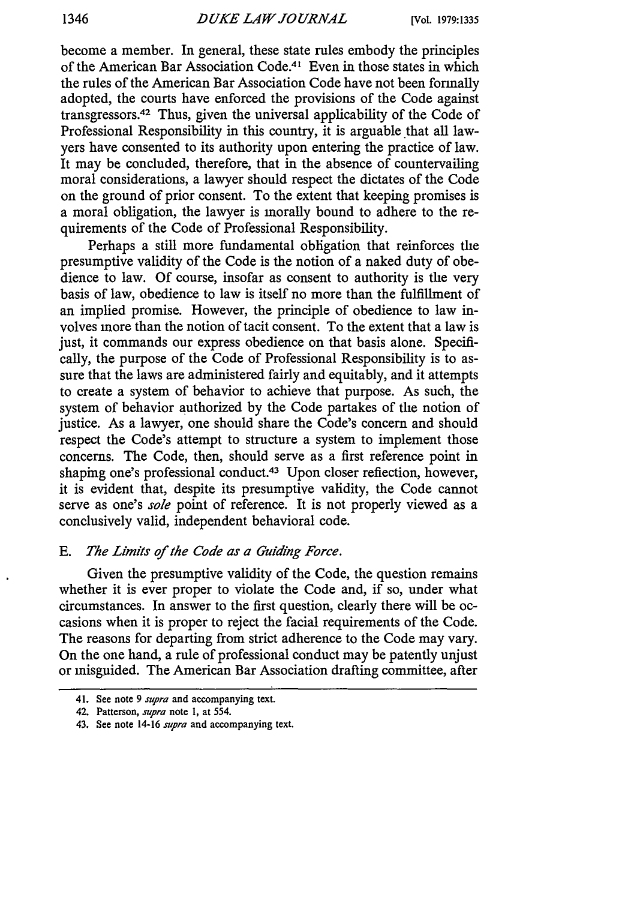become a member. In general, these state rules embody the principles of the American Bar Association Code.41 Even in those states in which the rules of the American Bar Association Code have not been formally adopted, the courts have enforced the provisions of the Code against transgressors. 42 Thus, given the universal applicability of the Code of Professional Responsibility in this country, it is arguable that all lawyers have consented to its authority upon entering the practice of law. It may be concluded, therefore, that in the absence of countervailing moral considerations, a lawyer should respect the dictates of the Code on the ground of prior consent. To the extent that keeping promises is a moral obligation, the lawyer is morally bound to adhere to the requirements of the Code of Professional Responsibility.

Perhaps a still more fundamental obligation that reinforces the presumptive validity of the Code is the notion of a naked duty of obedience to law. Of course, insofar as consent to authority is the very basis of law, obedience to law is itself no more than the fulfillment of an implied promise. However, the principle of obedience to law involves more than the notion of tacit consent. To the extent that a law is just, it commands our express obedience on that basis alone. Specifically, the purpose of the Code of Professional Responsibility is to assure that the laws are administered fairly and equitably, and it attempts to create a system of behavior to achieve that purpose. As such, the system of behavior authorized by the Code partakes of the notion of justice. As a lawyer, one should share the Code's concern and should respect the Code's attempt to structure a system to implement those concerns. The Code, then, should serve as a first reference point in shaping one's professional conduct.43 Upon closer reflection, however, it is evident that, despite its presumptive validity, the Code cannot serve as one's *sole* point of reference. It is not properly viewed as a conclusively valid, independent behavioral code.

#### *E. The Limits of the Code as a Guiding Force.*

Given the presumptive validity of the Code, the question remains whether it is ever proper to violate the Code and, if so, under what circumstances. In answer to the first question, clearly there will be occasions when it is proper to reject the facial requirements of the Code. The reasons for departing from strict adherence to the Code may vary. On the one hand, a rule of professional conduct may be patently unjust or misguided. The American Bar Association drafting committee, after

<sup>41.</sup> See note 9 *supra* and accompanying text.

<sup>42.</sup> Patterson, *supra* note I, at 554.

<sup>43.</sup> See note 14-16 *supra* and accompanying text.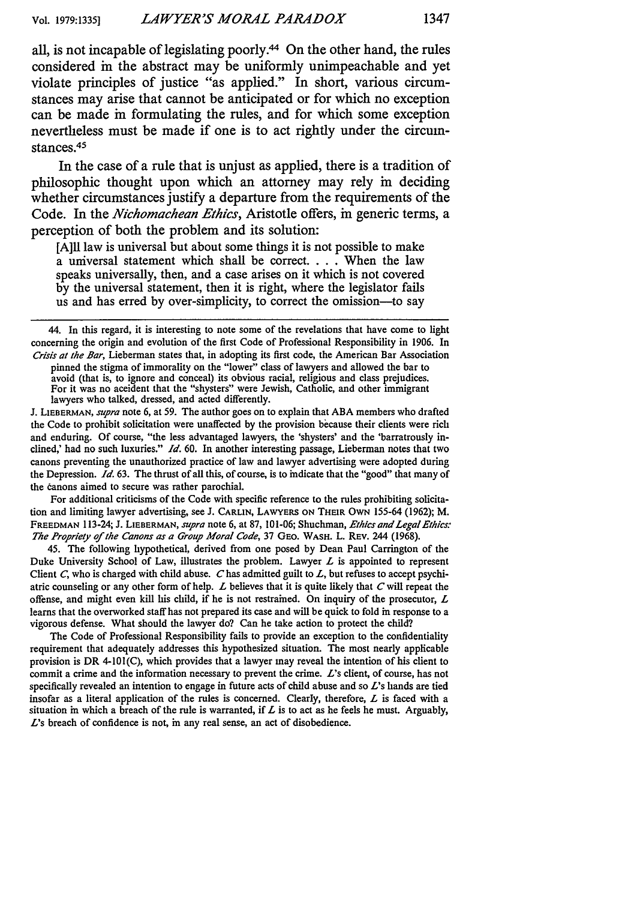all, is not incapable of legislating poorly.44 On the other hand, the rules considered in the abstract may be uniformly unimpeachable and yet violate principles of justice "as applied." In short, various circumstances may arise that cannot be anticipated or for which no exception can be made in formulating the rules, and for which some exception nevertheless must be made if one is to act rightly under the circumstances. 45

In the case of a rule that is unjust as applied, there is a tradition of philosophic thought upon which an attorney may rely in deciding whether circumstances justify a departure from the requirements of the Code. In the *Nichomachean Ethics,* Aristotle offers, in generic terms, a perception of both the problem and its solution:

[A]] law is universal but about some things it is not possible to make a universal statement which shall be correct **....** When the law speaks universally, then, and a case arises on it which is not covered **by** the universal statement, then it is right, where the legislator fails us and has erred **by** over-simplicity, to correct the omission-to say

44. In this regard, it is interesting to note some of the revelations that have come to light concerning the origin and evolution of the first Code of Professional Responsibility in 1906. In *Crisis at the Bar,* Lieberman states that, in adopting its first code, the American Bar Association pinned the stigma of immorality on the "lower" class of lawyers and allowed the bar to

avoid (that is, to ignore and conceal) its obvious racial, religious and class prejudices. For it was no accident that the "shysters" were Jewish, Catholic, and other immigrant lawyers who talked, dressed, and acted differently.

J. LIEBERMAN, *supra* note 6, at 59. The author goes on to explain that ABA members who drafted the Code to prohibit solicitation were unaffected by the provision because their clients were rich and enduring. Of course, "the less advantaged lawyers, the 'shysters' and the 'barratrously inclined,' had no such luxuries." *Id.* 60. In another interesting passage, Lieberman notes that two canons preventing the unauthorized practice of law and lawyer advertising were adopted during the Depression. *Id.* 63. The thrust of all this, of course, is to indicate that the "good" that many of the canons aimed to secure was rather parochial.

For additional criticisms of the Code with specific reference to the rules prohibiting solicitation and limiting lawyer advertising, see J. CARLIN, LAWYERS **ON THEIR** OWN 155-64 (1962); M. FREEDMAN 113-24; J. LIEBERMAN, *supra* note 6, at 87, 101-06; Shuchman, Ethics and Legal Ethics: *The Propriety of the Canons as a Group Moral Code,* 37 **GEO.** WASH. L. REv. 244 (1968).

45. The following hypothetical, derived from one posed by Dean Paul Carrington of the Duke University School of Law, illustrates the problem. Lawyer *L* is appointed to represent Client *C,* who is charged with child abuse. *C* has admitted guilt to *L,* but refuses to accept psychiatric counseling or any other form of help. *L* believes that it is quite likely that *C* will repeat the offense, and might even kill his child, if he is not restrained. On inquiry of the prosecutor, *L* learns that the overworked staff has not prepared its case and will be quick to fold in response to a vigorous defense. What should the lawyer do? Can he take action to protect the child?

The Code of Professional Responsibility fails to provide an exception to the confidentiality requirement that adequately addresses this hypothesized situation. The most nearly applicable provision is DR 4-101(C), which provides that a lawyer may reveal the intention of his client to commit a crime and the information necessary to prevent the crime. *L's* client, of course, has not specifically revealed an intention to engage in future acts of child abuse and so *L's* hands are tied insofar as a literal application of the rules is concerned. Clearly, therefore, *L* is faced with a situation in which a breach of the rule is warranted, if  $L$  is to act as he feels he must. Arguably, *L's* breach of confidence is not, in any real sense, an act of disobedience.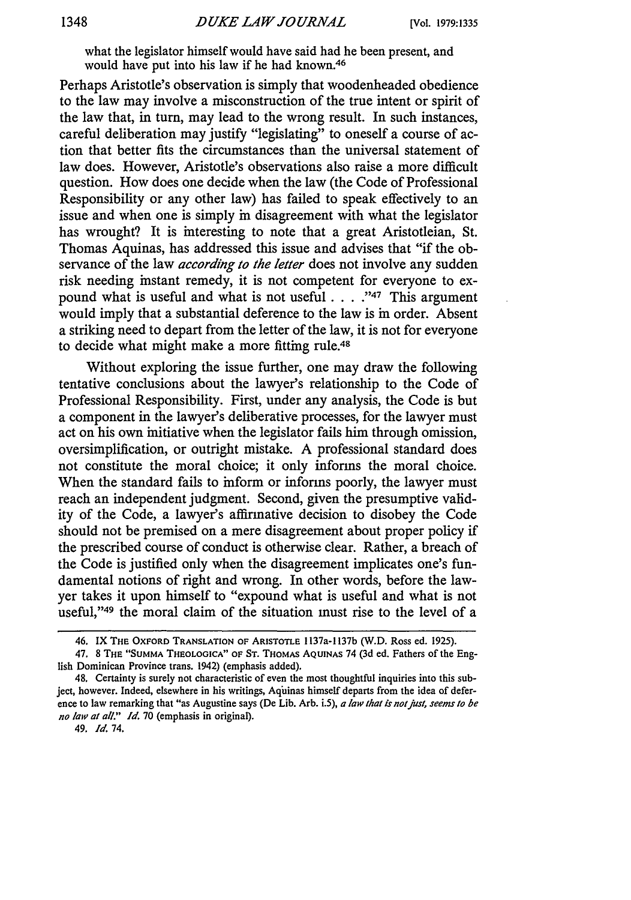what the legislator himself would have said had he been present, and would have put into his law if he had known.<sup>46</sup>

Perhaps Aristotle's observation is simply that woodenheaded obedience to the law may involve a misconstruction of the true intent or spirit of the law that, in turn, may lead to the wrong result. In such instances, careful deliberation may justify "legislating" to oneself a course of action that better fits the circumstances than the universal statement of law does. However, Aristotle's observations also raise a more difficult question. How does one decide when the law (the Code of Professional Responsibility or any other law) has failed to speak effectively to an issue and when one is simply in disagreement with what the legislator has wrought? It is interesting to note that a great Aristotleian, St. Thomas Aquinas, has addressed this issue and advises that "if the observance of the law *according to the letter* does not involve any sudden risk needing instant remedy, it is not competent for everyone to expound what is useful and what is not useful . . . .<sup>747</sup> This argument would imply that a substantial deference to the law is in order. Absent a striking need to depart from the letter of the law, it is not for everyone to decide what might make a more fitting rule.<sup>48</sup>

Without exploring the issue further, one may draw the following tentative conclusions about the lawyer's relationship to the Code of Professional Responsibility. First, under any analysis, the Code is but a component in the lawyer's deliberative processes, for the lawyer must act on his own initiative when the legislator fails him through omission, oversimplification, or outright mistake. A professional standard does not constitute the moral choice; it only informs the moral choice. When the standard fails to inform or informs poorly, the lawyer must reach an independent judgment. Second, given the presumptive validity of the Code, a lawyer's affirmative decision to disobey the Code should not be premised on a mere disagreement about proper policy if the prescribed course of conduct is otherwise clear. Rather, a breach of the Code is justified only when the disagreement implicates one's fundamental notions of right and wrong. In other words, before the lawyer takes it upon himself to "expound what is useful and what is not useful,"<sup>49</sup> the moral claim of the situation must rise to the level of a

**<sup>46.</sup> IX THE OXFORD TRANSLATION OF ARISTOTLE I 137a-I 137b** (W.D. Ross ed. **1925).**

**<sup>47. 8</sup>** THE **"SUMMA THEOLOGICA" OF ST.** THOMAS **AQUINAS** 74 **(3d** ed. Fathers of **the** English Dominican Province **trans.** 1942) (emphasis added).

**<sup>48.</sup> Certainty** is surely not characteristic of even **the** most thoughtful inquiries into **this** sub**ject,** however. Indeed, elsewhere in his writings, Aquinas himself **departs** from **the** idea of **deference to** law remarking **that** "as Augustine **says** (De Lib. Arb. i.5), *a law that is notjust, seems to be no law at all." Id.* **70** (emphasis in original).

**<sup>49.</sup>** *Id.* **74.**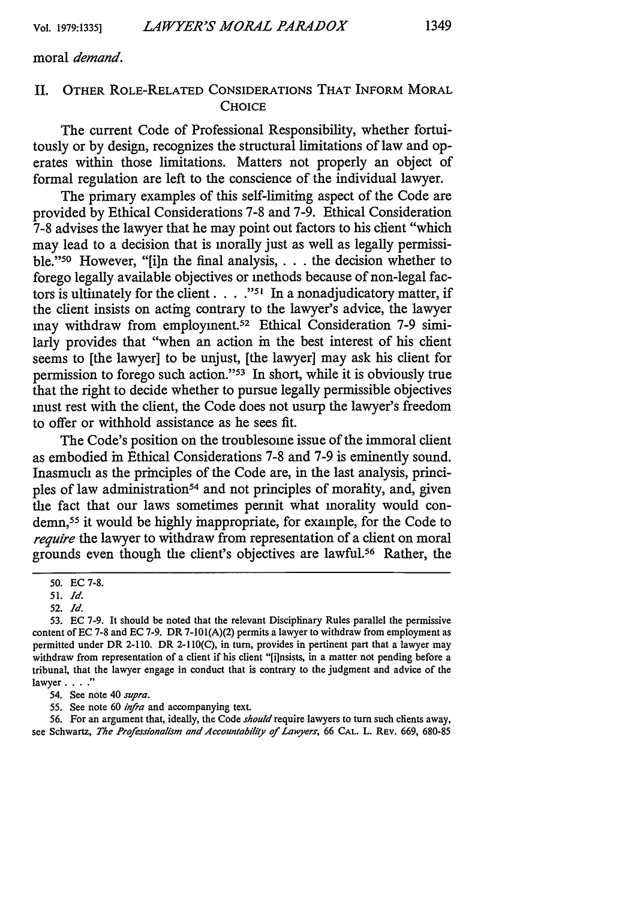moral *demand.*

# II. OTHER ROLE-RELATED CONSIDERATIONS THAT INFORM MORAL **CHOICE**

The current Code of Professional Responsibility, whether fortuitously or by design, recognizes the structural limitations of law and operates within those limitations. Matters not properly an object of formal regulation are left to the conscience of the individual lawyer.

The primary examples of this self-limiting aspect of the Code are provided by Ethical Considerations **7-8** and 7-9. Ethical Consideration **7-8** advises the lawyer that he may point out factors to his client "which may lead to a decision that is morally just as well as legally permissible." 50 However, "[i]n the final analysis, **. . .** the decision whether to forego legally available objectives or methods because of non-legal factors is ultimately for the client . . . .<sup>"51</sup> In a nonadjudicatory matter, if the client insists on acting contrary to the lawyer's advice, the lawyer may withdraw from employment. 52 Ethical Consideration **7-9** similarly provides that "when an action in the best interest of his client seems to [the lawyer] to be unjust, [the lawyer] may ask his client for permission to forego such action."'53 In short, while it is obviously true that the right to decide whether to pursue legally permissible objectives must rest with the client, the Code does not usurp the lawyer's freedom to offer or withhold assistance as he sees fit.

The Code's position on the troublesome issue of the immoral client as embodied in Ethical Considerations **7-8** and **7-9** is eminently sound. Inasmuch as the principles of the Code are, in the last analysis, principles of law administration<sup>54</sup> and not principles of morality, and, given the fact that our laws sometimes permit what morality would condemn,55 it would be highly inappropriate, for example, for the Code to *require* the lawyer to withdraw from representation of a client on moral grounds even though the client's objectives are lawful.<sup>56</sup> Rather, the

56. For an argument that, ideally, the Code *should* require lawyers to turn such clients away, see Schwartz, *The Professionalism and Accountability of Lawyers,* 66 **CAL.** L. **REv.** 669, 680-85

<sup>50.</sup> EC 7-8.

<sup>51.</sup> *Id.*

<sup>52.</sup> *Id.*

<sup>53.</sup> EC 7-9. It should be noted that the relevant Disciplinary Rules parallel the permissive content of EC 7-8 and EC 7-9. DR 7-101(A)(2) permits a lawyer to withdraw from employment as permitted under DR 2-110. DR 2-110(C), in turn, provides in pertinent part that a lawyer may withdraw from representation of a client if his client "[i]nsists, in a matter not pending before a tribunal, that the lawyer engage in conduct that is contrary to the judgment and advice of the lawyer . . . ."

<sup>54.</sup> See note 40 *supra.*

**<sup>55.</sup>** See note 60 *infra* and accompanying text.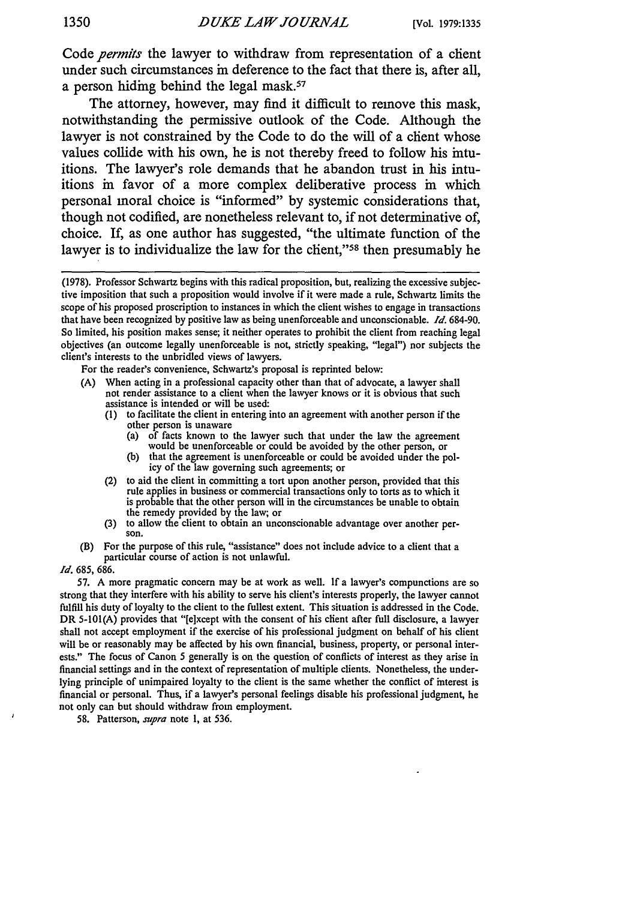Code *permits* the lawyer to withdraw from representation of a chent under such circumstances in deference to the fact that there is, after all, a person hiding behind the legal mask.<sup>57</sup>

The attorney, however, may find it difficult to remove this mask, notwithstanding the permissive outlook of the Code. Although the lawyer is not constrained by the Code to do the will of a chent whose values collide with his own, he is not thereby freed to follow his intuitions. The lawyer's role demands that he abandon trust in his intuitions in favor of a more complex deliberative process in which personal moral choice is "informed" by systemic considerations that, though not codified, are nonetheless relevant to, if not determinative of, choice. If, as one author has suggested, "the ultimate function of the lawyer is to individualize the law for the chent,"<sup>58</sup> then presumably he

For the reader's convenience, Schwartz's proposal is reprinted below:

- (A) When acting in a professional capacity other than that of advocate, a lawyer shall not render assistance to a client when the lawyer knows or it is obvious that such assistance is intended or will be used:
	- **(1)** to facilitate the client in entering into an agreement with another person if the other person is unaware
		- (a) of facts known to the lawyer such that under the law the agreement would be unenforceable or could be avoided by the other person, or
		- (b) that the agreement is unenforceable or could be avoided under the policy of the law governing such agreements; or
	- (2) to aid the client in committing a tort upon another person, provided that this rule applies in business or commercial transactions only to torts as to which it is probable that the other person will in the circumstances be unable to obtain the remedy provided by the law; or
	- (3) to allow the client to obtain an unconscionable advantage over another per-
- (B) For the purpose of this rule, "assistance" does not include advice to a client that a particular course of action is not unlawful.

*Id.* 685, 686.

57. A more pragmatic concern may be at work as well. If a lawyer's compunctions are so strong that they interfere with his ability to serve his client's interests properly, the lawyer cannot fulfill his duty of loyalty to the client to the fullest extent. This situation is addressed in the Code. DR 5-101(A) provides that "[e]xcept with the consent of his client after full disclosure, a lawyer shall not accept employment if the exercise of his professional judgment on behalf of his client will be or reasonably may be affected by his own financial, business, property, or personal interests." The focus of Canon 5 generally is on the question of conflicts of interest as they arise in financial settings and in the context of representation of multiple clients. Nonetheless, the underlying principle of unimpaired loyalty to the client is the same whether the conflict of interest is financial or personal. Thus, if a lawyer's personal feelings disable his professional judgment, he not only can but should withdraw from employment.

58. Patterson, *supra* note 1, at 536.

<sup>(1978).</sup> Professor Schwartz begins with this radical proposition, but, realizing the excessive subjective imposition that such a proposition would involve if it were made a rule, Schwartz limits the scope of his proposed proscription to instances in which the client wishes to engage in transactions that have been recognized by positive law as being unenforceable and unconscionable. *Id.* 684-90. So limited, his position makes sense; it neither operates to prohibit the client from reaching legal objectives (an outcome legally unenforceable is not, strictly speaking, "legal") nor subjects the client's interests to the unbridled views of lawyers.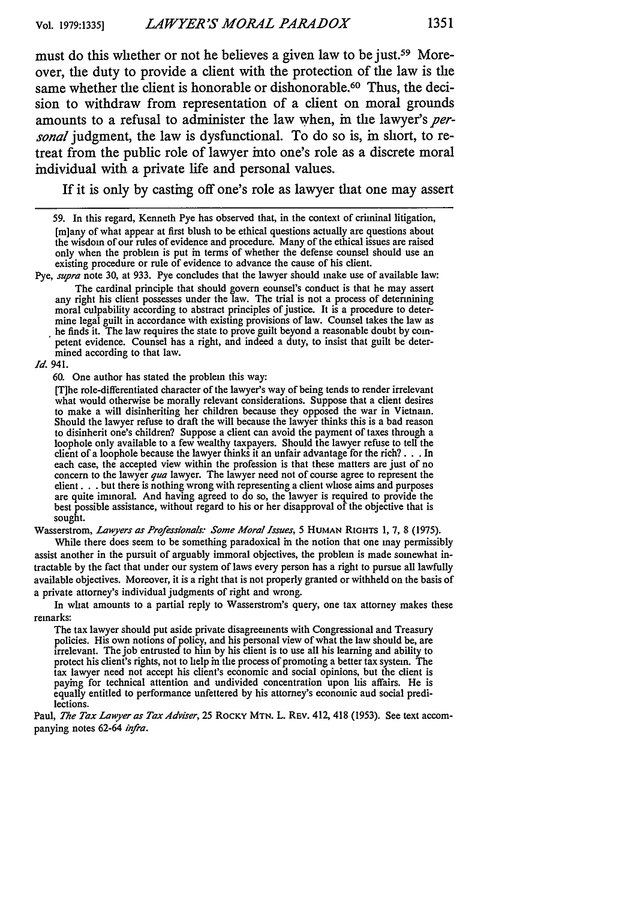must do this whether or not he believes a given law to **be just.59** Moreover, the duty to provide a client with the protection of the law is the same whether the client is honorable or dishonorable.<sup>60</sup> Thus, the decision to withdraw from representation of a client on moral grounds amounts to a refusal to administer the law when, in the lawyer's *personal* judgment, the law is dysfunctional. To do so is, in short, to retreat from the public role of lawyer into one's role as a discrete moral individual with a private life and personal values.

If it is only **by** casting off one's role as lawyer that one may assert

*Pye, supra* note 30, at 933. Pye concludes that the lawyer should make use of available law: The cardinal principle that should govern counsel's conduct is that he may assert any right his client possesses under the law. The trial is not a process of determining moral culpability according to abstract principles of justice. It is a procedure to determine legal guilt in accordance with existing provisions of law. Counsel takes the law as he finds it. The law requires the state to prove guilt beyond a reasonable doubt by competent evidence. Counsel has a right, and indeed a duty, to insist that guilt be determined according to that law.

*Id.* 941.

60. One author has stated the problem this way:

[T]he role-differentiated character of the lawyer's way of being tends to render irrelevant what would otherwise be morally relevant considerations. Suppose that a client desires to make a will disinheriting her children because they opposed the war in Vietnam. Should the lawyer refuse to draft the will because the lawyer thinks this is a bad reason to disinherit one's children? Suppose a client can avoid the payment of taxes through a loophole only available to a few wealthy taxpayers. Should the lawyer refuse to tell the client of a loophole because the lawyer thinks it an unfair advantage for the rich?. **.** . In each case, the accepted view within the profession is that these matters are just of no concern to the lawyer *qua* lawyer. The lawyer need not of course agree to represent the client. **. .** but there is nothing wrong with representing a client whose aims and purposes are quite immoral. And having agreed to do so, the lawyer is required to provide the best possible assistance, without regard to his or her disapproval of the objective that is sought.

Wasserstrom, *Lawyers as Professionals.- Some Moral Issues,* 5 **HUMAN** RIGHTS 1, **7,** 8 (1975).

While there does seem to be something paradoxical in the notion that one may permissibly assist another in the pursuit of arguably immoral objectives, the problem is made somewhat intractable by the fact that under our system of laws every person has a right to pursue all lawfully available objectives. Moreover, it is a right that is not properly granted or withheld on the basis of a private attorney's individual judgments of right and wrong.

In what amounts to a partial reply to Wasserstrom's query, one tax attorney makes these remarks:

The tax lawyer should put aside private disagreements with Congressional and Treasury policies. His own notions of policy, and his personal view of what the law should be, are irrelevant. The job entrusted to him by his client is to use all his learning and ability to protect his client's rights, not to help in the process of promoting a better tax system. The tax lawyer need not accept his client's economic and social opinions, but the client is paying for technical attention and undivided concentration upon his affairs. He is equally entitled to performance unfettered by his attorney's economic and social predilections.

Paul, *The Tax Lawyer as Tax Adviser*, 25 ROCKY MTN. L. REV. 412, 418 (1953). See text accompanying notes 62-64 *infra.*

<sup>59.</sup> In this regard, Kenneth Pye has observed that, in the context of criminal litigation, [m]any of what appear at first blush to be ethical questions actually are questions about the wisdom of our rules of evidence and procedure. Many of the ethical issues are raised only when the problem is put in terms of whether the defense counsel should use an existing procedure or rule of evidence to advance the cause of his client.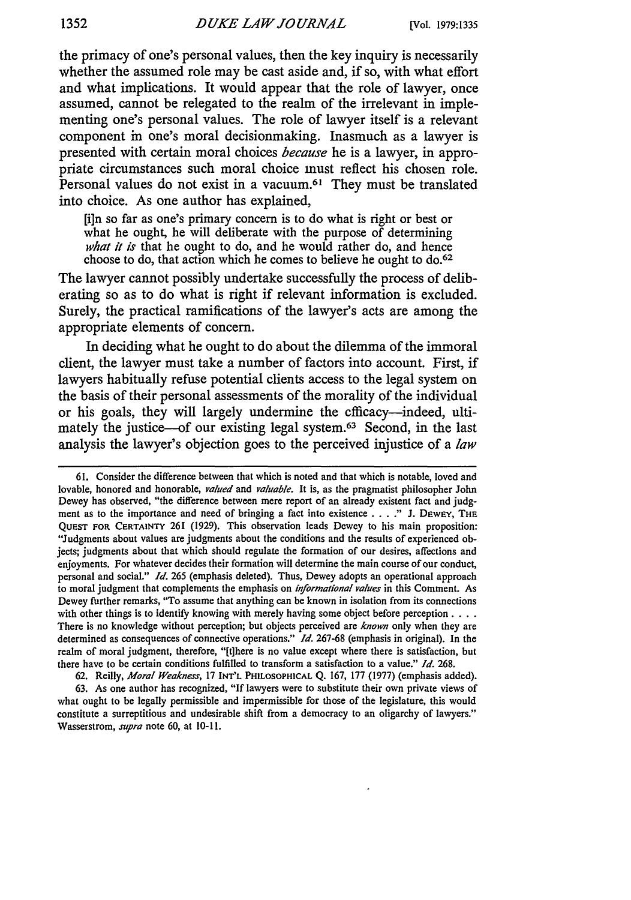the primacy of one's personal values, then the key inquiry is necessarily whether the assumed role may be cast aside and, if so, with what effort and what implications. It would appear that the role of lawyer, once assumed, cannot be relegated to the realm of the irrelevant in implementing one's personal values. The role of lawyer itself is a relevant component in one's moral decisionmaking. Inasmuch as a lawyer is presented with certain moral choices *because* he is a lawyer, in appropriate circumstances such moral choice must reflect his chosen role. Personal values do not exist in a vacuum.<sup>61</sup> They must be translated into choice. As one author has explained,

[i]n so far as one's primary concern is to do what is right or best or what he ought, he will deliberate with the purpose of determining what it is that he ought to do, and he would rather do, and hence choose to do, that action which he comes to believe he ought to do.<sup>62</sup>

The lawyer cannot possibly undertake successfully the process of deliberating so as to do what is right if relevant information is excluded. Surely, the practical ramifications of the lawyer's acts are among the appropriate elements of concern.

In deciding what he ought to do about the dilemma of the immoral client, the lawyer must take a number of factors into account. First, if lawyers habitually refuse potential clients access to the legal system on the basis of their personal assessments of the morality of the individual or his goals, they will largely undermine the efficacy-indeed, ultimately the justice--of our existing legal system.<sup>63</sup> Second, in the last analysis the lawyer's objection goes to the perceived injustice of a *law*

**62.** Reilly, *Moral Weakness,* 17 INT'L PHILOSOPHICAL Q. 167, 177 (1977) (emphasis added).

63. As one author has recognized, "If lawyers were to substitute their own private views of what ought to be legally permissible and impermissible for those of the legislature, this would constitute a surreptitious and undesirable shift from a democracy to an oligarchy of lawyers." Wasserstrom, *supra* note **60,** at **10-11.**

<sup>61.</sup> Consider the difference between that which is noted and that which is notable, loved and lovable, honored and honorable, *valued* and *valuable.* It is, as the pragmatist philosopher John Dewey has observed, "the difference between mere report of an already existent fact and judgment as to the importance and need of bringing a fact into existence. **...** J. DEWEY, **THE QUEST** FOR **CERTAINTY** 261 **(1929).** This observation leads Dewey to his main proposition: "Judgments about values are judgments about the conditions and the results of experienced objects; judgments about that which should regulate the formation of our desires, affections and enjoyments. For whatever decides their formation will determine the main course of our conduct, personal and social." *Id.* 265 (emphasis deleted). Thus, Dewey adopts an operational approach to moral judgment that complements the emphasis on *informational values* in this Comment. As Dewey further remarks, "To assume that anything can be known in isolation from its connections with other things is to identify knowing with merely having some object before perception **....** There is no knowledge without perception; but objects perceived are *known* only when they are determined as consequences of connective operations." *Id.* 267-68 (emphasis in original). In the realm of moral judgment, therefore, "[t]here is no value except where there is satisfaction, but there have to be certain conditions fulfilled to transform a satisfaction to a value." *Id.* 268.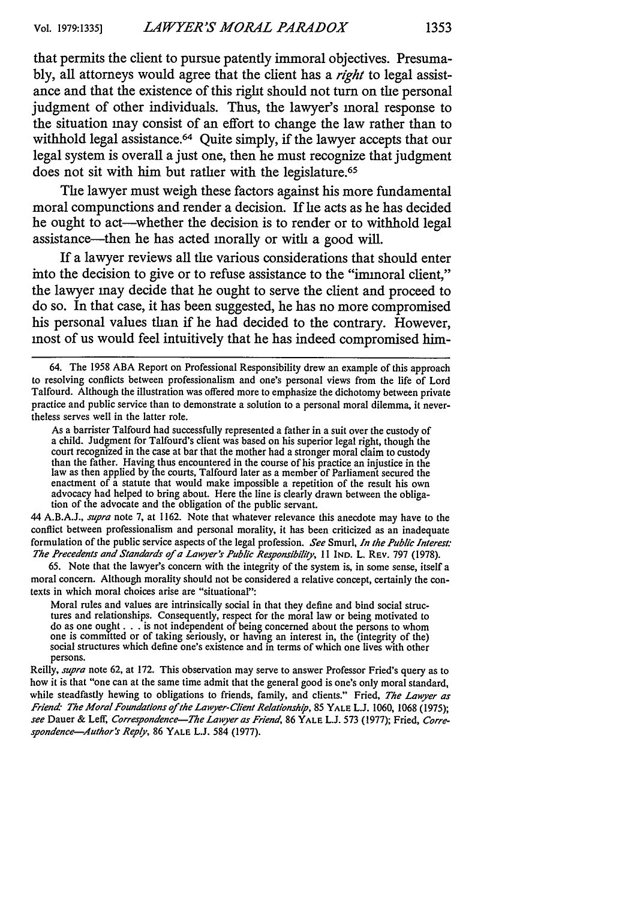that permits the client to pursue patently immoral objectives. Presuma**bly,** all attorneys would agree that the client has a *right* to legal assistance and that the existence of this right should not turn on the personal judgment of other individuals. Thus, the lawyer's moral response to the situation may consist of an effort to change the law rather than to withhold legal assistance.<sup>64</sup> Quite simply, if the lawyer accepts that our legal system is overall a just one, then he must recognize that judgment does not sit with him but rather with the legislature.<sup>65</sup>

The lawyer must weigh these factors against his more fundamental moral compunctions and render a decision. If he acts as he has decided he ought to act—whether the decision is to render or to withhold legal assistance-then he has acted morally or with a good will.

If a lawyer reviews all the various considerations that should enter into the decision to give or to refuse assistance to the "immoral client," the lawyer may decide that he ought to serve the client and proceed to do so. In that case, it has been suggested, he has no more compromised his personal values than if he had decided to the contrary. However, most of us would feel intuitively that he has indeed compromised him-

As a barrister Talfourd had successfully represented a father in a suit over the custody of a child. Judgment for Talfourd's client was based on his superior legal right, though the court recognized in the case at bar that the mother had a stronger moral claim to custody than the father. Having thus encountered in the course of his practice an injustice in the law as then applied by the courts, Talfourd later as a member of Parliament secured the enactment of a statute that would make impossible a repetition of the result his own advocacy had helped to bring about. Here the line is clearly drawn between the obligation of the advocate and the obligation of the public servant.

44 A.B.A.J., *supra* note 7, at 1162. Note that whatever relevance this anecdote may have to the conflict between professionalism and personal morality, it has been criticized as an inadequate formulation of the public service aspects of the legal profession. *See* Smurl, *In the Public Interest: The Precedents and Standards ofa Lawyer's Public Responsibility,* 11 **IND.** L. REV. 797 (1978).

65. Note that the lawyer's concern with the integrity of the system is, in some sense, itself a moral concern. Although morality should not be considered a relative concept, certainly the contexts in which moral choices arise are "situational":

Moral rules and values are intrinsically social in that they define and bind social structures and relationships. Consequently, respect for the moral law or being motivated to do as one ought. . . is not independent of being concerned about the persons to whom one is committed or of taking seriously, or having an interest in, the (integrity of the) social structures which define one's existence and in terms of which one lives with other persons.

Reilly, *supra* note 62, at 172. This observation may serve to answer Professor Fried's query as to how it is that "one can at the same time admit that the general good is one's only moral standard, while steadfastly hewing to obligations to friends, family, and clients." Fried, *The Lawyer as Friend- The Moral Foundations of the Lawyer-Client Relationship,* 85 **YALE L.J.** 1060, 1068 (1975); *see* Dauer & Leff, *Correspondence-The Lawyer as Friend,* 86 **YALE L.J. 573 (1977);** Fried, *Correspondence-Author's Reply,* 86 YALE L.J. 584 (1977).

<sup>64.</sup> The 1958 ABA Report on Professional Responsibility drew an example of this approach to resolving conflicts between professionalism and one's personal views from the life of Lord Talfourd. Although the illustration was offered more to emphasize the dichotomy between private practice and public service than to demonstrate a solution to a personal moral dilemma, it nevertheless serves well in the latter role.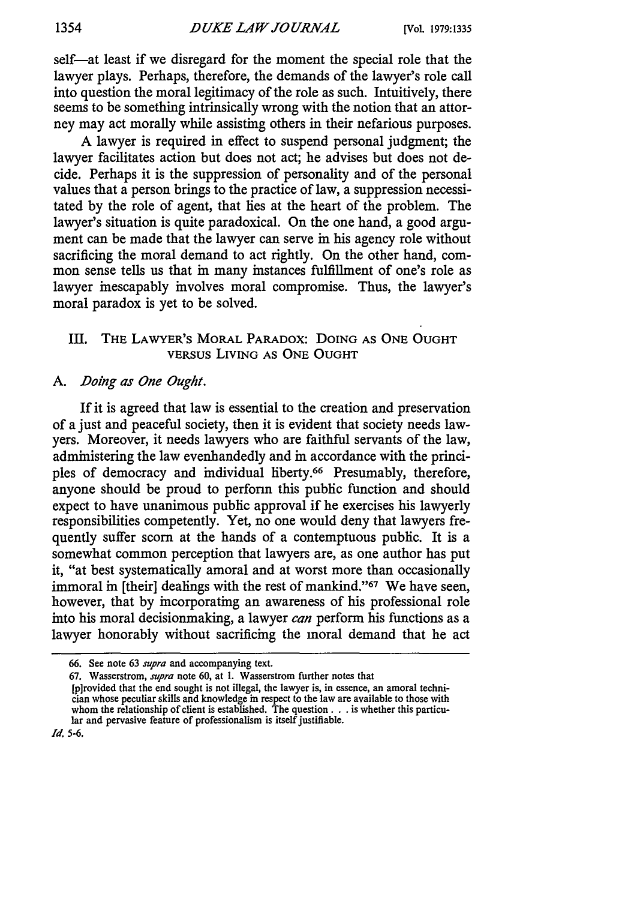self—at least if we disregard for the moment the special role that the lawyer plays. Perhaps, therefore, the demands of the lawyer's role call into question the moral legitimacy of the role as such. Intuitively, there seems to be something intrinsically wrong with the notion that an attorney may act morally while assisting others in their nefarious purposes.

A lawyer is required in effect to suspend personal judgment; the lawyer facilitates action but does not act; he advises but does not decide. Perhaps it is the suppression of personality and of the personal values that a person brings to the practice of law, a suppression necessitated by the role of agent, that lies at the heart of the problem. The lawyer's situation is quite paradoxical. On the one hand, a good argument can be made that the lawyer can serve in his agency role without sacrificing the moral demand to act rightly. On the other hand, common sense tells us that in many instances fulfillment of one's role as lawyer inescapably involves moral compromise. Thus, the lawyer's moral paradox is yet to be solved.

## III. THE LAWYER'S MORAL PARADOX: DOING **AS ONE OUGHT** VERSUS LIVING **AS ONE OUGHT**

#### *A. Doing as One Ought.*

If it is agreed that law is essential to the creation and preservation of a just and peaceful society, then it is evident that society needs lawyers. Moreover, it needs lawyers who are faithful servants of the law, administering the law evenhandedly and in accordance with the principles of democracy and individual liberty.66 Presumably, therefore, anyone should be proud to perform this public function and should expect to have unanimous public approval if he exercises his lawyerly responsibilities competently. Yet, no one would deny that lawyers frequently suffer scorn at the hands of a contemptuous public. It is a somewhat common perception that lawyers are, as one author has put it, "at best systematically amoral and at worst more than occasionally immoral in [their] dealings with the rest of mankind."<sup>67</sup> We have seen, however, that by incorporating an awareness of his professional role into his moral decisionmaking, a lawyer *can* perform his functions as a lawyer honorably without sacrificing the moral demand that he act

<sup>66.</sup> See note 63 *supra* and accompanying text.

<sup>67.</sup> Wasserstrom, *supra* note 60, at **1.** Wasserstrom further notes that

<sup>[</sup>p]rovided that the end sought is not illegal, the lawyer is, in essence, an amoral technician whose peculiar skills and knowledge in respect to the law are available to those with whom the relationship of client is established. The question **...** is whether this particular and pervasive feature of professionalism is itself justifiable.

*Id. 5-6.*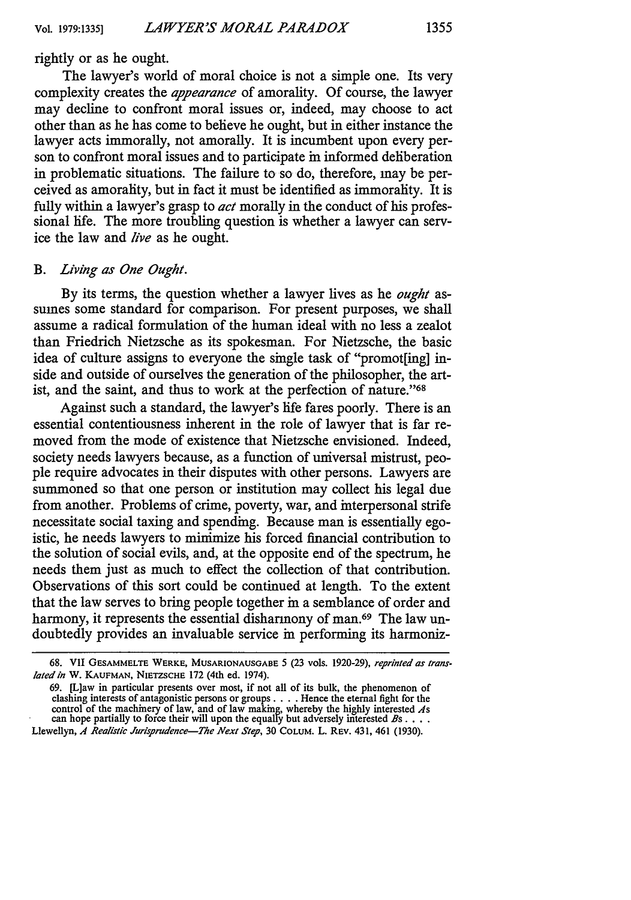rightly or as he ought.

The lawyer's world of moral choice is not a simple one. Its very complexity creates the *appearance* of amorality. Of course, the lawyer may decline to confront moral issues or, indeed, may choose to act other than as he has come to believe he ought, but in either instance the lawyer acts immorally, not amorally. It is incumbent upon every person to confront moral issues and to participate in informed deliberation in problematic situations. The failure to so do, therefore, may be perceived as amorality, but in fact it must be identified as immorality. It is fully within a lawyer's grasp to *act* morally in the conduct of his professional life. The more troubling question is whether a lawyer can service the law and *live* as he ought.

#### *B. Living as One Ought.*

By its terms, the question whether a lawyer lives as he *ought* assumes some standard for comparison. For present purposes, we shall assume a radical formulation of the human ideal with no less a zealot than Friedrich Nietzsche as its spokesman. For Nietzsche, the basic idea of culture assigns to everyone the single task of "promot[ing] inside and outside of ourselves the generation of the philosopher, the artist, and the saint, and thus to work at the perfection of nature."<sup>68</sup>

Against such a standard, the lawyer's life fares poorly. There is an essential contentiousness inherent in the role of lawyer that is far removed from the mode of existence that Nietzsche envisioned. Indeed, society needs lawyers because, as a function of universal mistrust, people require advocates in their disputes with other persons. Lawyers are summoned so that one person or institution may collect his legal due from another. Problems of crime, poverty, war, and interpersonal strife necessitate social taxing and spending. Because man is essentially egoistic, he needs lawyers to minimize his forced financial contribution to the solution of social evils, and, at the opposite end of the spectrum, he needs them just as much to effect the collection of that contribution. Observations of this sort could be continued at length. To the extent that the law serves to bring people together in a semblance of order and harmony, it represents the essential disharmony of man.<sup>69</sup> The law undoubtedly provides an invaluable service in performing its harmoniz-

Llewellyn, **4** *Realistic Jurisprudence-The Next Step,* 30 **COLUM.** L. REV. 431, 461 (1930).

<sup>68.</sup> **VII GESAMMELTE** WERKE, MUSARIONAUSGABE **5** (23 vols. 1920-29), *reprinted as translated in* W. **KAUFMAN, NIETZSCHE 172** (4th ed. 1974).

<sup>69. [</sup>L]aw in particular presents over most, if not all of its bulk, the phenomenon of clashing interests of antagonistic persons or groups **....** Hence the eternal fight for the control of the machinery of law, and of law making, whereby the highly interested As<br>can hope partially to force their will upon the equally but adversely interested Bs . . .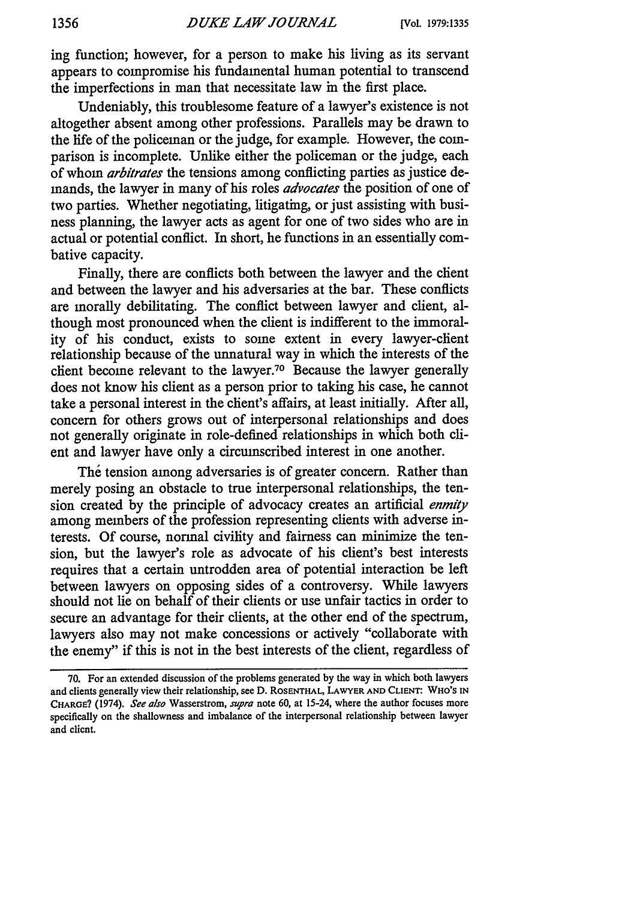ing function; however, for a person to make his living as its servant appears to compromise his fundamental human potential to transcend the imperfections in man that necessitate law in the first place.

Undeniably, this troublesome feature of a lawyer's existence is not altogether absent among other professions. Parallels may be drawn to the life of the policeman or the judge, for example. However, the comparison is incomplete. Unlike either the policeman or the judge, each of whom *arbitrates* the tensions among conflicting parties as justice demands, the lawyer in many of his roles *advocates* the position of one of two parties. Whether negotiating, litigating, or just assisting with business planning, the lawyer acts as agent for one of two sides who are in actual or potential conflict. In short, he functions in an essentially combative capacity.

Finally, there are conflicts both between the lawyer and the client and between the lawyer and his adversaries at the bar. These conflicts are morally debilitating. The conflict between lawyer and client, although most pronounced when the client is indifferent to the immorality of his conduct, exists to some extent in every lawyer-client relationship because of the unnatural way in which the interests of the client become relevant to the lawyer.<sup>70</sup> Because the lawyer generally does not know his client as a person prior to taking his case, he cannot take a personal interest in the client's affairs, at least initially. After all, concern for others grows out of interpersonal relationships and does not generally originate in role-defined relationships in which both client and lawyer have only a circumscribed interest in one another.

The tension among adversaries is of greater concern. Rather than merely posing an obstacle to true interpersonal relationships, the tension created by the principle of advocacy creates an artificial *enmity* among members of the profession representing clients with adverse interests. Of course, normal civility and fairness can minimize the tension, but the lawyer's role as advocate of his client's best interests requires that a certain untrodden area of potential interaction be left between lawyers on opposing sides of a controversy. While lawyers should not lie on behalf of their clients or use unfair tactics in order to secure an advantage for their clients, at the other end of the spectrum, lawyers also may not make concessions or actively "collaborate with the enemy" if this is not in the best interests of the client, regardless of

**<sup>70.</sup>** For an extended discussion of the problems generated **by** the way in which both lawyers and clients generally view their relationship, see D. ROSENTHAL, LAWYER AND CLIENT: WHO's IN **CHARGE?** (1974). *See also* Wasserstrom, *supra* note 60, at 15-24, where the author focuses more specifically on the shallowness and imbalance of the interpersonal relationship between lawyer and client.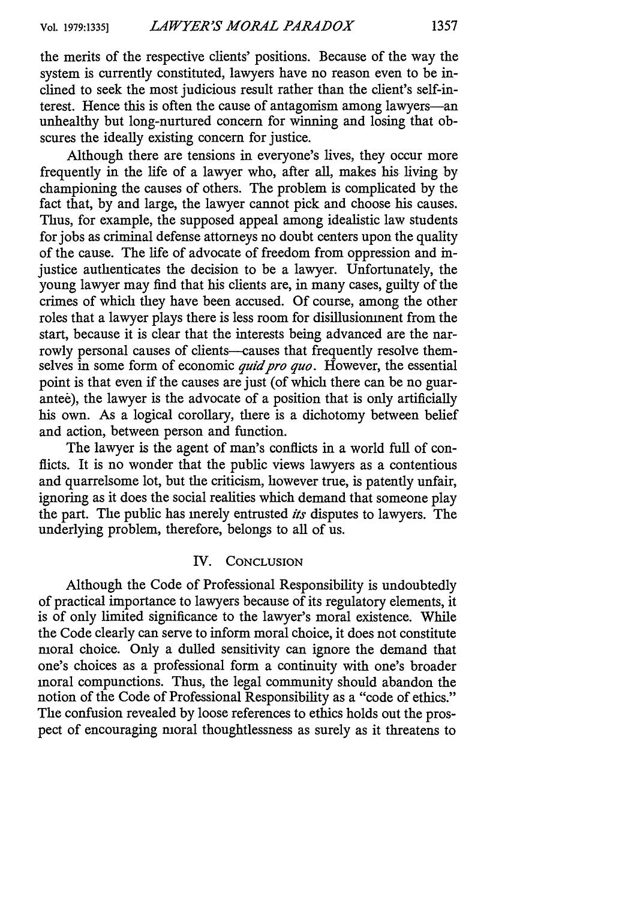the merits of the respective clients' positions. Because of the way the system is currently constituted, lawyers have no reason even to be inclined to seek the most judicious result rather than the client's self-interest. Hence this is often the cause of antagonism among lawyers-an unhealthy but long-nurtured concern for winning and losing that obscures the ideally existing concern for justice.

Although there are tensions in everyone's lives, they occur more frequently in the life of a lawyer who, after all, makes his living by championing the causes of others. The problem is complicated by the fact that, by and large, the lawyer cannot pick and choose his causes. Thus, for example, the supposed appeal among idealistic law students for jobs as criminal defense attorneys no doubt centers upon the quality of the cause. The life of advocate of freedom from oppression and injustice authenticates the decision to be a lawyer. Unfortunately, the young lawyer may find that his clients are, in many cases, guilty of the crimes of which they have been accused. Of course, among the other roles that a lawyer plays there is less room for disillusionment from the start, because it is clear that the interests being advanced are the narrowly personal causes of clients--causes that frequently resolve themselves in some form of economic *quid pro quo*. However, the essential point is that even if the causes are just (of which there can be no guarantee), the lawyer is the advocate of a position that is only artificially his own. As a logical corollary, there is a dichotomy between belief and action, between person and function.

The lawyer is the agent of man's conflicts in a world full of conflicts. It is no wonder that the public views lawyers as a contentious and quarrelsome lot, but the criticism, however true, is patently unfair, ignoring as it does the social realities which demand that someone play the part. The public has merely entrusted *its* disputes to lawyers. The underlying problem, therefore, belongs to all of us.

#### IV. **CONCLUSION**

Although the Code of Professional Responsibility is undoubtedly of practical importance to lawyers because of its regulatory elements, it is of only limited significance to the lawyer's moral existence. While the Code clearly can serve to inform moral choice, it does not constitute moral choice. Only a dulled sensitivity can ignore the demand that one's choices as a professional form a continuity with one's broader moral compunctions. Thus, the legal community should abandon the notion of the Code of Professional Responsibility as a "code of ethics." The confusion revealed by loose references to ethics holds out the prospect of encouraging moral thoughtlessness as surely as it threatens to